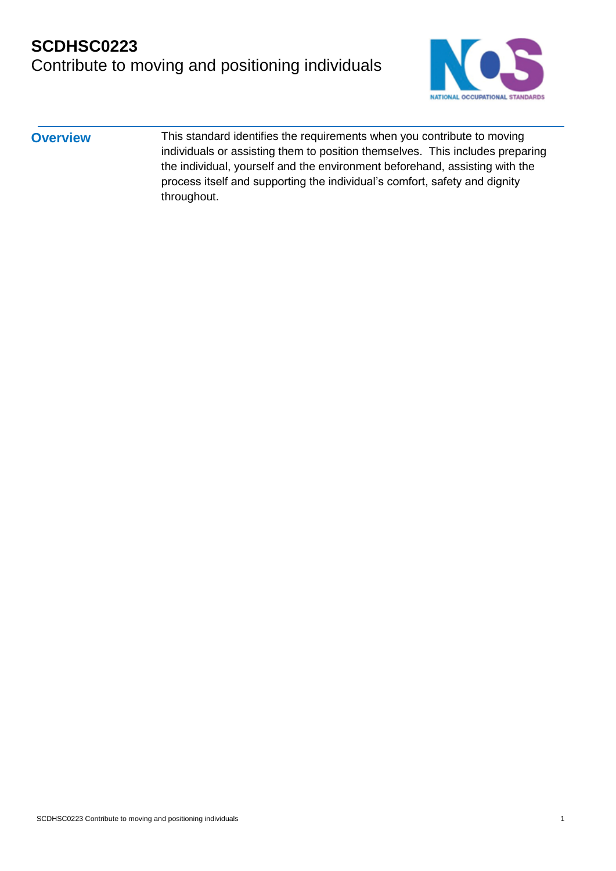

| <b>Overview</b> | This standard identifies the requirements when you contribute to moving       |
|-----------------|-------------------------------------------------------------------------------|
|                 | individuals or assisting them to position themselves. This includes preparing |
|                 | the individual, yourself and the environment beforehand, assisting with the   |
|                 | process itself and supporting the individual's comfort, safety and dignity    |
|                 | throughout.                                                                   |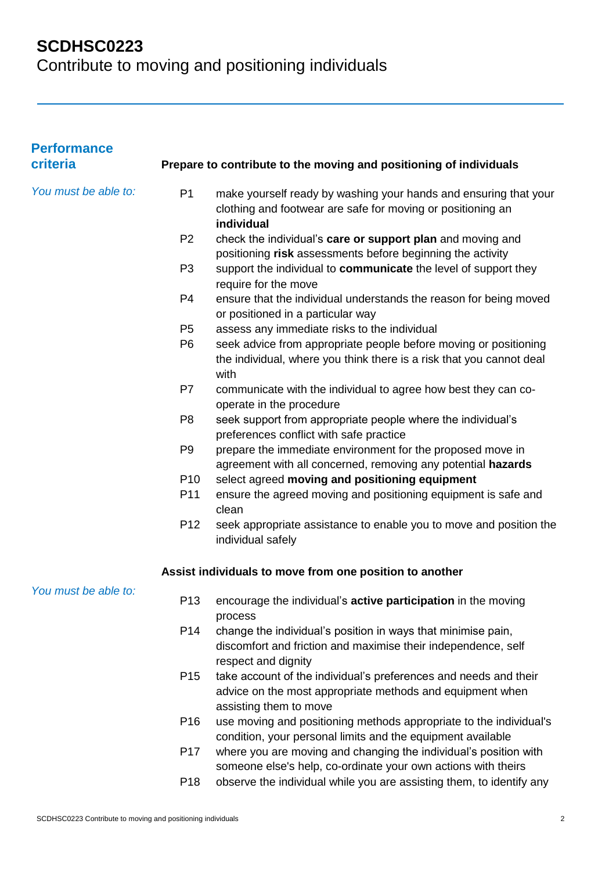## **SCDHSC0223**

Contribute to moving and positioning individuals

| <b>Performance</b><br>criteria |                 | Prepare to contribute to the moving and positioning of individuals                                                                                      |
|--------------------------------|-----------------|---------------------------------------------------------------------------------------------------------------------------------------------------------|
| You must be able to:           | P <sub>1</sub>  | make yourself ready by washing your hands and ensuring that your<br>clothing and footwear are safe for moving or positioning an<br>individual           |
|                                | P <sub>2</sub>  | check the individual's care or support plan and moving and<br>positioning risk assessments before beginning the activity                                |
|                                | P <sub>3</sub>  | support the individual to communicate the level of support they<br>require for the move                                                                 |
|                                | P <sub>4</sub>  | ensure that the individual understands the reason for being moved<br>or positioned in a particular way                                                  |
|                                | P <sub>5</sub>  | assess any immediate risks to the individual                                                                                                            |
|                                | P <sub>6</sub>  | seek advice from appropriate people before moving or positioning<br>the individual, where you think there is a risk that you cannot deal<br>with        |
|                                | P7              | communicate with the individual to agree how best they can co-<br>operate in the procedure                                                              |
|                                | P <sub>8</sub>  | seek support from appropriate people where the individual's<br>preferences conflict with safe practice                                                  |
|                                | P <sub>9</sub>  | prepare the immediate environment for the proposed move in<br>agreement with all concerned, removing any potential hazards                              |
|                                | P <sub>10</sub> | select agreed moving and positioning equipment                                                                                                          |
|                                | P11             | ensure the agreed moving and positioning equipment is safe and<br>clean                                                                                 |
|                                | P <sub>12</sub> | seek appropriate assistance to enable you to move and position the<br>individual safely                                                                 |
|                                |                 | Assist individuals to move from one position to another                                                                                                 |
| You must be able to:           | P <sub>13</sub> | encourage the individual's active participation in the moving<br>process                                                                                |
|                                | P14             | change the individual's position in ways that minimise pain,<br>discomfort and friction and maximise their independence, self<br>respect and dignity    |
|                                | P <sub>15</sub> | take account of the individual's preferences and needs and their<br>advice on the most appropriate methods and equipment when<br>assisting them to move |
|                                | P <sub>16</sub> | use moving and positioning methods appropriate to the individual's<br>condition, your personal limits and the equipment available                       |
|                                | P <sub>17</sub> | where you are moving and changing the individual's position with<br>someone else's help, co-ordinate your own actions with theirs                       |
|                                | P <sub>18</sub> | observe the individual while you are assisting them, to identify any                                                                                    |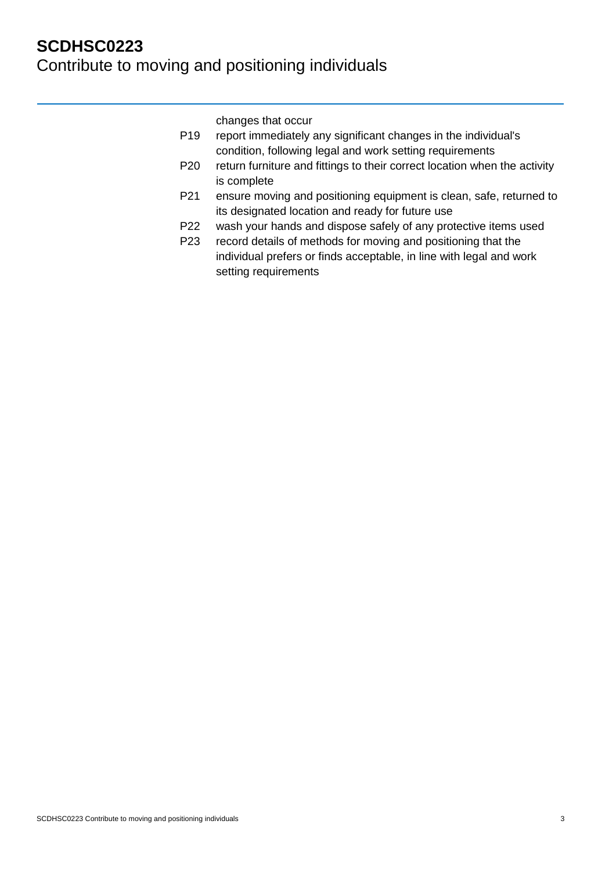changes that occur

| P19 | report immediately any significant changes in the individual's |
|-----|----------------------------------------------------------------|
|     | condition, following legal and work setting requirements       |

- P20 return furniture and fittings to their correct location when the activity is complete
- P21 ensure moving and positioning equipment is clean, safe, returned to its designated location and ready for future use
- P22 wash your hands and dispose safely of any protective items used
- P23 record details of methods for moving and positioning that the individual prefers or finds acceptable, in line with legal and work setting requirements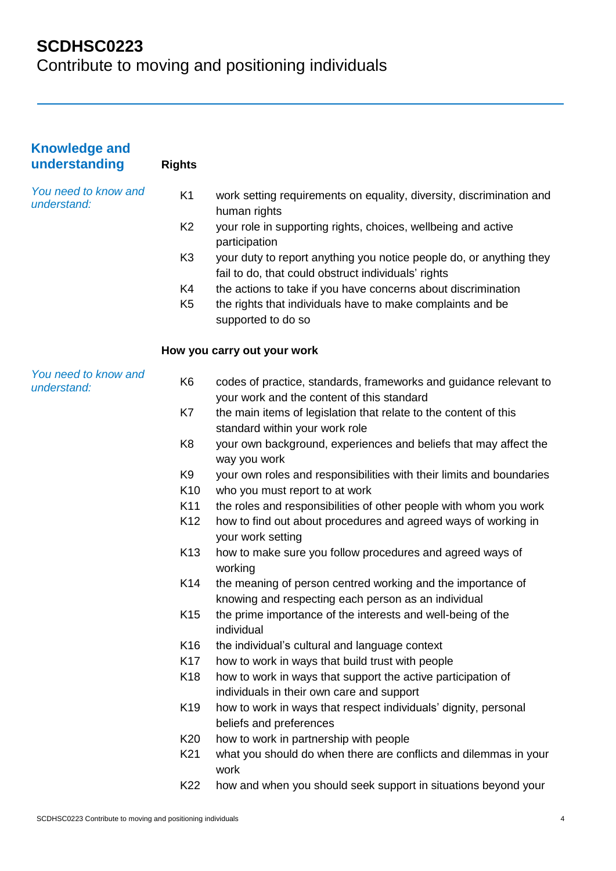## **SCDHSC0223**

Contribute to moving and positioning individuals

| <b>Knowledge and</b><br>understanding | <b>Rights</b>   |                                                                                                                            |
|---------------------------------------|-----------------|----------------------------------------------------------------------------------------------------------------------------|
| You need to know and<br>understand:   | K <sub>1</sub>  | work setting requirements on equality, diversity, discrimination and<br>human rights                                       |
|                                       | K <sub>2</sub>  | your role in supporting rights, choices, wellbeing and active<br>participation                                             |
|                                       | K <sub>3</sub>  | your duty to report anything you notice people do, or anything they<br>fail to do, that could obstruct individuals' rights |
|                                       | K4              | the actions to take if you have concerns about discrimination                                                              |
|                                       | K <sub>5</sub>  | the rights that individuals have to make complaints and be<br>supported to do so                                           |
|                                       |                 | How you carry out your work                                                                                                |
| You need to know and<br>understand:   | K <sub>6</sub>  | codes of practice, standards, frameworks and guidance relevant to<br>your work and the content of this standard            |
|                                       | K7              | the main items of legislation that relate to the content of this<br>standard within your work role                         |
|                                       | K <sub>8</sub>  | your own background, experiences and beliefs that may affect the<br>way you work                                           |
|                                       | K9              | your own roles and responsibilities with their limits and boundaries                                                       |
|                                       | K <sub>10</sub> | who you must report to at work                                                                                             |
|                                       | K11             | the roles and responsibilities of other people with whom you work                                                          |
|                                       | K <sub>12</sub> | how to find out about procedures and agreed ways of working in<br>your work setting                                        |
|                                       | K <sub>13</sub> | how to make sure you follow procedures and agreed ways of<br>working                                                       |
|                                       | K14             | the meaning of person centred working and the importance of<br>knowing and respecting each person as an individual         |
|                                       | K <sub>15</sub> | the prime importance of the interests and well-being of the<br>individual                                                  |
|                                       | K <sub>16</sub> | the individual's cultural and language context                                                                             |
|                                       | K <sub>17</sub> | how to work in ways that build trust with people                                                                           |
|                                       | K <sub>18</sub> | how to work in ways that support the active participation of<br>individuals in their own care and support                  |
|                                       | K <sub>19</sub> | how to work in ways that respect individuals' dignity, personal<br>beliefs and preferences                                 |
|                                       | K <sub>20</sub> | how to work in partnership with people                                                                                     |
|                                       | K21             | what you should do when there are conflicts and dilemmas in your<br>work                                                   |
|                                       | K22             | how and when you should seek support in situations beyond your                                                             |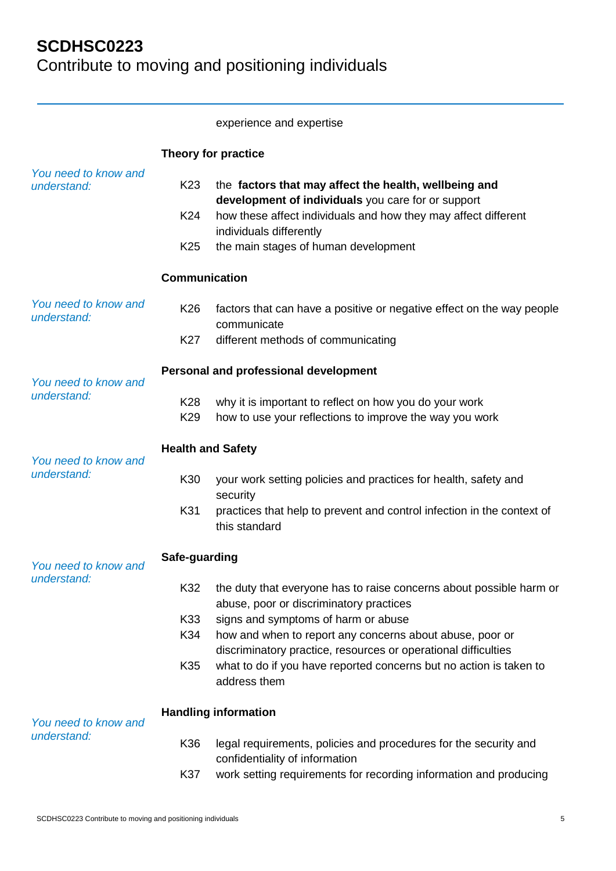#### experience and expertise

|                                                  |                                           | Theory for practice                                                                                                                                                                                                                              |
|--------------------------------------------------|-------------------------------------------|--------------------------------------------------------------------------------------------------------------------------------------------------------------------------------------------------------------------------------------------------|
| You need to know and<br>understand:              | K <sub>23</sub><br>K24<br>K <sub>25</sub> | the factors that may affect the health, wellbeing and<br>development of individuals you care for or support<br>how these affect individuals and how they may affect different<br>individuals differently<br>the main stages of human development |
|                                                  | <b>Communication</b>                      |                                                                                                                                                                                                                                                  |
| You need to know and<br>understand:              | K <sub>26</sub>                           | factors that can have a positive or negative effect on the way people<br>communicate                                                                                                                                                             |
|                                                  | K27                                       | different methods of communicating                                                                                                                                                                                                               |
| You need to know and                             |                                           | Personal and professional development                                                                                                                                                                                                            |
| understand:                                      | K28<br>K <sub>29</sub>                    | why it is important to reflect on how you do your work<br>how to use your reflections to improve the way you work                                                                                                                                |
| <b>Health and Safety</b><br>You need to know and |                                           |                                                                                                                                                                                                                                                  |
| understand:                                      | K30                                       | your work setting policies and practices for health, safety and<br>security                                                                                                                                                                      |
|                                                  | K31                                       | practices that help to prevent and control infection in the context of<br>this standard                                                                                                                                                          |
| Safe-guarding<br>You need to know and            |                                           |                                                                                                                                                                                                                                                  |
| understand:                                      | K32                                       | the duty that everyone has to raise concerns about possible harm or<br>abuse, poor or discriminatory practices                                                                                                                                   |
|                                                  | K33<br>K34                                | signs and symptoms of harm or abuse<br>how and when to report any concerns about abuse, poor or<br>discriminatory practice, resources or operational difficulties                                                                                |
|                                                  | K35                                       | what to do if you have reported concerns but no action is taken to<br>address them                                                                                                                                                               |
| You need to know and                             |                                           | <b>Handling information</b>                                                                                                                                                                                                                      |
| understand:                                      | K36                                       | legal requirements, policies and procedures for the security and<br>confidentiality of information                                                                                                                                               |
|                                                  | K37                                       | work setting requirements for recording information and producing                                                                                                                                                                                |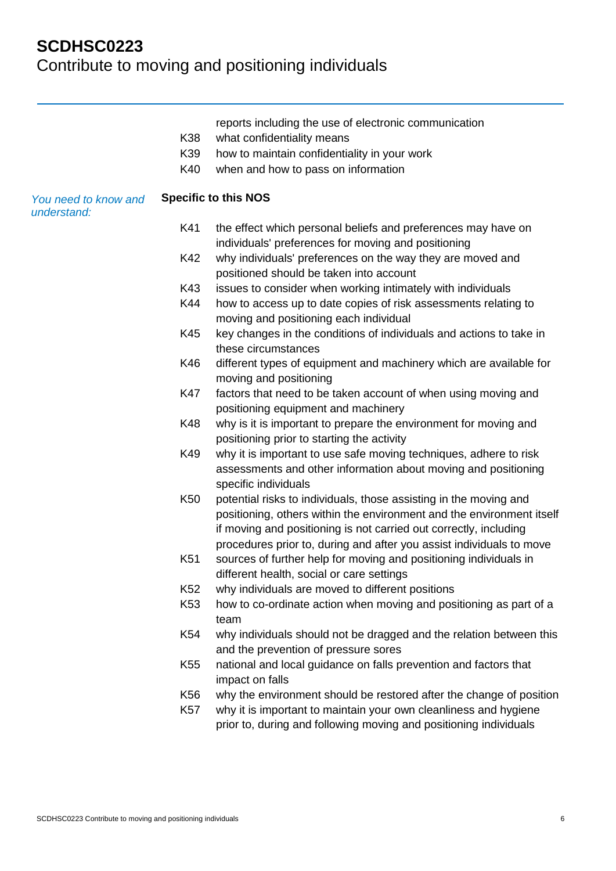|                                     |                 | reports including the use of electronic communication                                                                                                                                                                                                                                   |
|-------------------------------------|-----------------|-----------------------------------------------------------------------------------------------------------------------------------------------------------------------------------------------------------------------------------------------------------------------------------------|
|                                     | K38             | what confidentiality means                                                                                                                                                                                                                                                              |
|                                     | K39             | how to maintain confidentiality in your work                                                                                                                                                                                                                                            |
|                                     | K40             | when and how to pass on information                                                                                                                                                                                                                                                     |
| You need to know and<br>understand: |                 | <b>Specific to this NOS</b>                                                                                                                                                                                                                                                             |
|                                     | K41             | the effect which personal beliefs and preferences may have on<br>individuals' preferences for moving and positioning                                                                                                                                                                    |
|                                     | K42             | why individuals' preferences on the way they are moved and<br>positioned should be taken into account                                                                                                                                                                                   |
|                                     | K43             | issues to consider when working intimately with individuals                                                                                                                                                                                                                             |
|                                     | K44             | how to access up to date copies of risk assessments relating to<br>moving and positioning each individual                                                                                                                                                                               |
|                                     | K45             | key changes in the conditions of individuals and actions to take in<br>these circumstances                                                                                                                                                                                              |
|                                     | K46             | different types of equipment and machinery which are available for<br>moving and positioning                                                                                                                                                                                            |
|                                     | K47             | factors that need to be taken account of when using moving and<br>positioning equipment and machinery                                                                                                                                                                                   |
|                                     | K48             | why is it is important to prepare the environment for moving and<br>positioning prior to starting the activity                                                                                                                                                                          |
|                                     | K49             | why it is important to use safe moving techniques, adhere to risk<br>assessments and other information about moving and positioning<br>specific individuals                                                                                                                             |
|                                     | K <sub>50</sub> | potential risks to individuals, those assisting in the moving and<br>positioning, others within the environment and the environment itself<br>if moving and positioning is not carried out correctly, including<br>procedures prior to, during and after you assist individuals to move |
|                                     | K51             | sources of further help for moving and positioning individuals in<br>different health, social or care settings                                                                                                                                                                          |
|                                     | K <sub>52</sub> | why individuals are moved to different positions                                                                                                                                                                                                                                        |
|                                     | K <sub>53</sub> | how to co-ordinate action when moving and positioning as part of a<br>team                                                                                                                                                                                                              |
|                                     | K54             | why individuals should not be dragged and the relation between this<br>and the prevention of pressure sores                                                                                                                                                                             |
|                                     | K <sub>55</sub> | national and local guidance on falls prevention and factors that<br>impact on falls                                                                                                                                                                                                     |
|                                     | K56             | why the environment should be restored after the change of position                                                                                                                                                                                                                     |
|                                     |                 |                                                                                                                                                                                                                                                                                         |

K57 why it is important to maintain your own cleanliness and hygiene prior to, during and following moving and positioning individuals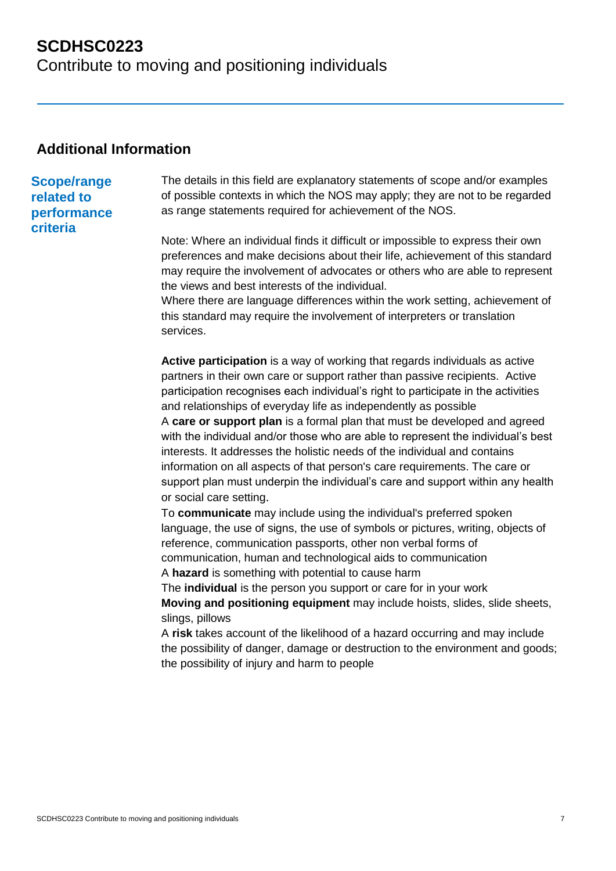### **Additional Information**

# **Scope/range**

#### **related to performance criteria**

The details in this field are explanatory statements of scope and/or examples of possible contexts in which the NOS may apply; they are not to be regarded as range statements required for achievement of the NOS.

Note: Where an individual finds it difficult or impossible to express their own preferences and make decisions about their life, achievement of this standard may require the involvement of advocates or others who are able to represent the views and best interests of the individual.

Where there are language differences within the work setting, achievement of this standard may require the involvement of interpreters or translation services.

**Active participation** is a way of working that regards individuals as active partners in their own care or support rather than passive recipients. Active participation recognises each individual's right to participate in the activities and relationships of everyday life as independently as possible

A **care or support plan** is a formal plan that must be developed and agreed with the individual and/or those who are able to represent the individual's best interests. It addresses the holistic needs of the individual and contains information on all aspects of that person's care requirements. The care or support plan must underpin the individual's care and support within any health or social care setting.

To **communicate** may include using the individual's preferred spoken language, the use of signs, the use of symbols or pictures, writing, objects of reference, communication passports, other non verbal forms of communication, human and technological aids to communication A **hazard** is something with potential to cause harm

The **individual** is the person you support or care for in your work **Moving and positioning equipment** may include hoists, slides, slide sheets, slings, pillows

A **risk** takes account of the likelihood of a hazard occurring and may include the possibility of danger, damage or destruction to the environment and goods; the possibility of injury and harm to people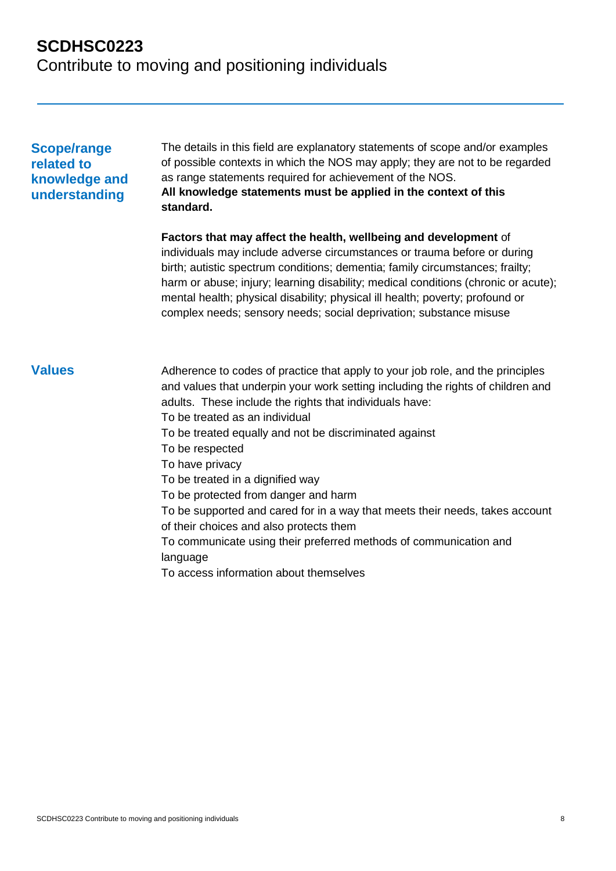#### **Scope/range related to knowledge and understanding**

The details in this field are explanatory statements of scope and/or examples of possible contexts in which the NOS may apply; they are not to be regarded as range statements required for achievement of the NOS. **All knowledge statements must be applied in the context of this standard.**

**Factors that may affect the health, wellbeing and development** of individuals may include adverse circumstances or trauma before or during birth; autistic spectrum conditions; dementia; family circumstances; frailty; harm or abuse; injury; learning disability; medical conditions (chronic or acute); mental health; physical disability; physical ill health; poverty; profound or complex needs; sensory needs; social deprivation; substance misuse

**Values** Adherence to codes of practice that apply to your job role, and the principles and values that underpin your work setting including the rights of children and adults. These include the rights that individuals have: To be treated as an individual To be treated equally and not be discriminated against To be respected To have privacy To be treated in a dignified way To be protected from danger and harm To be supported and cared for in a way that meets their needs, takes account of their choices and also protects them To communicate using their preferred methods of communication and language To access information about themselves